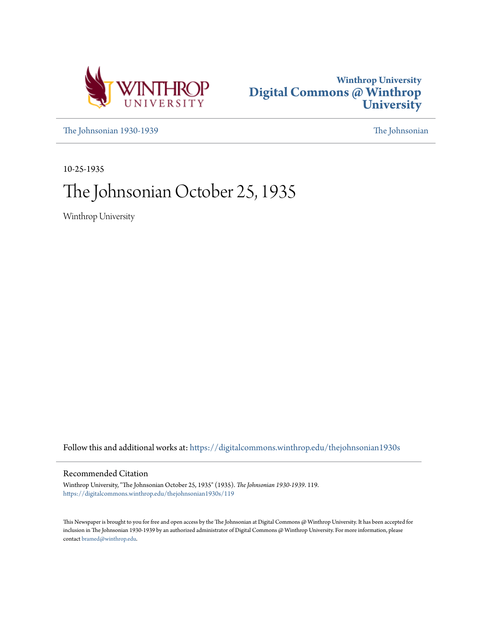



[The Johnsonian 1930-1939](https://digitalcommons.winthrop.edu/thejohnsonian1930s?utm_source=digitalcommons.winthrop.edu%2Fthejohnsonian1930s%2F119&utm_medium=PDF&utm_campaign=PDFCoverPages) [The Johnsonian](https://digitalcommons.winthrop.edu/thejohnsonian_newspaper?utm_source=digitalcommons.winthrop.edu%2Fthejohnsonian1930s%2F119&utm_medium=PDF&utm_campaign=PDFCoverPages)

10-25-1935

# The Johnsonian October 25, 1935

Winthrop University

Follow this and additional works at: [https://digitalcommons.winthrop.edu/thejohnsonian1930s](https://digitalcommons.winthrop.edu/thejohnsonian1930s?utm_source=digitalcommons.winthrop.edu%2Fthejohnsonian1930s%2F119&utm_medium=PDF&utm_campaign=PDFCoverPages)

## Recommended Citation

Winthrop University, "The Johnsonian October 25, 1935" (1935). *The Johnsonian 1930-1939*. 119. [https://digitalcommons.winthrop.edu/thejohnsonian1930s/119](https://digitalcommons.winthrop.edu/thejohnsonian1930s/119?utm_source=digitalcommons.winthrop.edu%2Fthejohnsonian1930s%2F119&utm_medium=PDF&utm_campaign=PDFCoverPages)

This Newspaper is brought to you for free and open access by the The Johnsonian at Digital Commons @ Winthrop University. It has been accepted for inclusion in The Johnsonian 1930-1939 by an authorized administrator of Digital Commons @ Winthrop University. For more information, please contact [bramed@winthrop.edu](mailto:bramed@winthrop.edu).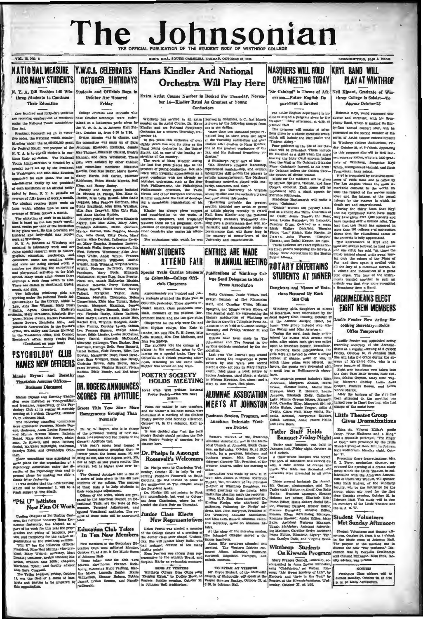# The Johnsonian SUBSCRIPTION, SLOS A YEAR

### VOL. 13, NO. 6

## NATIONAL MEASURE Y.W.C.A. CELEBRATES Hans Kindler And National AIDS MANY STUDENTS OCTOBER BIRTHDAYS

October Are Honored

College officials and students who

tained at a Eslloween party given by

DR. ROGERS ANNOUNCES

**SCORES FOR APTITUDE** 

Homogeneous Grouping Than

Formerly

the Y. W. O. A. in Job

nson Hall Pri-

Friday

N. Y. A. Bill Enables 145 Win-Students and Officials Born in throp Students to Continue **Their Education** 

One hundred and forty-five students

are receiving employment at Winthrop have October birthdays were enternoder the National Youth Administration Act. President Roosevelt set up, by execu-

day, October 18, from 6:30 to 7:30. readent Moonevers for up, or recent to the contribution of the and the correct term and the correct the MA00,000,000 grant the constitute was made up of Servan Sheltona under the MA00,000,000 grant Prederal Relations, Jour N. Y. A. is to enable r ate their education. The National Hannah, and Sara Westbrook. These such Administration is directed by a girls were analoied by other Cabinet<br>ecial board set up by the Fresident and committee members: Elizabeth<br>ecial board set up by the Fresident Bardim Beas Mao Baker, Marie Econe,<br>Washing

special board set ga by the Presidenti and countinue and anomicies members. Elizabeth points and with a sample and state in the specific set and the specific set and the specific set and the specific set and the specific

me Office ckston Assu **Rasiness Discussed** 

Mamie Bryani and Dorokly Thackton was installed as vice-president and treatment, repectively, of the situation spectral experiments in the branching of the situation of the situation of the situation of the situation of t The fallering, Anna Louis Branchets,<br>
The fallering committees<br>
The spointed: Frequency standing Bry-<br>
tre application, Anna Louis Recentre, Dr. W. W. Regress, who is in charge<br>
rest application of the personnel testing o

 $\alpha$ nske pi Paye

It was de which will be November 1,<br>steak supper at The Shack.

## "Phi U" Initiates

Upsilan Chapter of Phi Upsilan Omi- Spatial Vocalional Applicies. The names can consider a material homoray Bone Eor- later.<br>
and a complex state will be announced from the fit system consideration of the system of the sy

# **Orchestra Will Play Here**

Extra Artist Course Number is Booked For Thursday, November 14-Kindler Rated As Greatest of Young Conductors

Wintkrop has secured as an extra (received in Columbia, S. C., last Man number on its Artist Course, Dr. Hann is shown by the following excerpt fractional extends of the simulational explicit  $\alpha$  and  $\alpha$  is the simulati erpt from

number on the baseball approaches and the Baseball approximation of gather and the baseball approximation of the analysis of the state of the state of the state of the state of the state of the matter of the baseball appr

## **MANY STUDENTS ATTEND FAIR**

Special Train Carries Students Publications of Winthrop Colto Columbia-College Officials Chaperone

ty students attended the State Fair in Evalyn Hannah, of The Johnsonia Columbia yesterday. These students in-Columbia yesterday. These students in-<br>cluded seniors, class presidents, mar-

Club Will Petiti

Flans for taking in new members<br>and for holdin<sup>-</sup> a tea next mouth were<br>iscussed at a meriting of the Student<br>betty Society hold Monday afternoor<br>betober 31, in tha Johnson Hall Li Scores This Year Show More discusse:<br>Poetry 6

brary.<br>It was decided also "us the location" start the context should petition the College Poetry Society of America for chapter here.

Dr. Phelps Is Amongst Roosevelt's Welcomers

Dr. Phelps went to Charleston Wednesday, October 23, to help "in wel-<br>coming President Roosevels to South<br>Carolina. He was invited to come to<br>the auditorium at The Cliadel where

the auditorium at the chancel where<br>
the Problem spake.<br>
Dr. Phelps did not return to Rock<br>
Hill immediately, but went to Column<br>
bia from Charleston, where he attended the State Pair on Thursday.

Junior Class Elects **New Representatives** 

Hen Perris was elected a member of the Oldiege Senate at a meeting of the Junctic character character character of the Auditor Character of the analysis (and results) that the parameter of the control control control contr At the close of the morning session he Johnston Chapter served a de-About fifty members attended this<br>meeting. The Western District em-<br>braces Alken, Allendale, Bamberg,<br>Barnwell, Edgefield, Hampton, and

**MASQUERS WILL HOLD** OPEN MEETING TODAY

'Sir Galahad" is Theme of Afternoo n-Entire English De partment is Invited

The cotire English department is invited to attend a program given by the Masquer ddi<br>Johnson Hall.

commoon Hall.<br>The program will consist of selec-<br>tions given by a choric speaking group<br>which will include the 23rd paalm and "Tintern Abbey." ..<br>על מח the life of Sir Gal.

Pour tableaux<br>had will be pre Pure patients on the life of Bir Gal-<br>and will be presented. These include<br>share with a regular that the application of the state of the Vignor March<br>straing the Holy Grail appears hefore the limit. The Vigil of Sir Galaha

music for the tableaux will be given<br>by Miriam Spelgints, violinist, and Jane<br>Cooper, cornetist. Each acene will be<br>introduced with a short speech by<br>Florence Richbourg. sworth will recite a

andeleine Hayn<br>noem, "Galahad "<br>"Diddle"

poem, "Galahad." "Dide a series all portury Galanda"<br>"Didde" Burnet will portury Galanda as erhild; Jims Hollis, Quardian of<br>the Grail; Jims Hollis, Quardian of<br>the Grail: Jessic Teaters, Sir Lancelor<br>Caroline Gause (Calci

Thomas, and Esabel Ecuton, six nums.<br>These tableaux are exact replicas tak-<br>in from panels composing the Edwin A.<br>Abbey frieze decorations in the Boston Abbey frieze de

## **IN ANNUAL MEETING ROTARY ENTERTAINS**

Daughters and Nieces of Rotarians Honored By Rock **Hill Club** 

Columbia yesterday. These students in-<br>
columbia yesterday. These students in-<br>
cluded seniors, class periodic correlation, and the cluster of methods a<br>more cluster and the students of the Student Govern Pheilboats and M

ALUMNAE ASSOCIATION Clauson, Mary 2, Howard, Louise MEETS AT JOHNSTON Read, Caroline Riley, Margaret Shiniey, samos, Gara Wall, Mary White, Eu-<br>| Cobbis. Lendall, Marguerite Sanders, Little Theatre Group and Lilla Bush.

## Tatler Staff Holds

Tatler staff banquet was held in

re autor, 22), Prosident of the Johnson Certrude Theorem as the presenced to all president to the property of Windows (Theorem Mc Certre California (The Prosident Certre California (The Prosident Certre California (The Pr Estant rang; aurertunar anager, aurer<br>Rosanne Howard; Junior Eclitor, Mary<br>Balle; Assistant Businean Manager,<br>Tirzah Mechipir; Assistant Advertis-<br>Insto Editor, Elizabeth Algary; Typ-<br>Roto Editor, Elizabeth Algary; Typolyn Cobb, and Virginia Scoo

### Winthrop Students On Kiwanis Program

Mary Frances Gomell, contraito, ac-

od by Anna Louise Renneker

## **KRYL BAND WILL PLAY AT WINTHROP**

Nell Kinard, Graduate of Winthrop College is Soloist-To **Appear October 25** 

Bohumir Kryl, world renowned our ductor and cornetist, with his Symphony Band, which is making its thirty-first annual concert tour, will be<br>presented as the second number of the series of Artist Course entertair in Winthrop College Audi rium, Priday, October 25, at 8 o'clock. App on this program also will be No  $n_{\rm H}$ 

car, oterose 29, at 8 o'edec.<br>Appearing and the HTM Example and the program also will be HCl Example<br>and solution 3 of the HCl Example and solution and the HCl Example and width<br>and solution 3 of the SMS gradient and the

the concerts is fully appreciated.<br>The appearances of Kryl and his band are always followed by loud praise<br>and one critic has said, "At three the music seemed almost to die away, let<br>ing only the echoes of the Pipes Pan, and then again it swelled with<br>all the fury of a mountum stream, to<br>a volume and mellowness of a great **STUDENTS AT DINNER pipe organ.** The tonie of the instruded together in st sch af rtistic way that they more re Symphony than a B

**ARCHIMEDEANS ELECT EIGHT NEW MEMBERS** 

#### Lucile Fender New Acting Re cording Secretary-Holds Office Temporarily

virtue atmosperarity<br>
Levelle Perder was appointed acting<br>
Levelle Perder was appointed acting<br>
recording secretary of the Archime-<br>
Bridge, colour 18, in Johnson Tall.<br>
Since will take the diffuse three colours of illines

**Gives Dramatizations** 

d Lillia Bish.<br> **Example:** Friday Night (sance, "Tion Slatterns and a King-<br> **Banquet Friday Night** and a dramatic portrayal, "The Finger<br>
That results and a dramatic portrayal, "The Finger<br>
That results and the of God," w

Jointon Rail, Priday night, Owner and Rail numerons, someoned and the<br>set of the disc of the course benefit was street by a contraction of the<br>set of reduction of the Scheme of the set of results and Eucknotic street<br>with

### Student Volunteers Met Sunday Afternoon

eers met S Student Volt ernoon, October 27, from a bohy<br>In the Music room of John<br>The purpose of the meeting<br>discuss the book "Par Horte r  $3040'$ n Hall eeting was<br>Iorisons." Di  $\overline{a}$  to cussion was by Corne<br>and Cleland McLaurin,<br>ulty adviser, was present lia DesCl urin, Miss Pink, fac

#### NOTICE!

 $\begin{tabular}{|l|} \hline electron & Class & others & will be\\ \hline 1 & A & A & A & B \\ \hline 2 & 31 & 32 & 33 & 44 \\ \hline 3 & 32 & 33 & 44 & 44 & 44 & 44 \\ \hline 4 & 33 & 44 & 44 & 44 & 44 & 44 \\ \hline 5 & 34 & 44 & 44 & 44 & 44 & 44 \\ \hline 6 & 35 & 44 & 44 & 44 & 44 & 44 \\ \hline 7 & 36 & 44 & 44 & 44 & 44 & 44 \\ \hline \end{tabular}$ 

**ENTRIES ARE MADE** 

lege Send Delegates to State

**Press Association** 

Betty Carrison, Jean's Teague, an



Business Seaden, Program, and genia Luncheon Entertain West-

ern District

Wentern District of the Winthrop Association ret in the Methemondist Church at Johnston, South Caracter of the Methemondist Caracter of the Methemondist Caracter of the Australian Content of Maxynel Comers 221, Freelabour

ardr. 1981. Mass James A. Eidson (Oertrude 1981. B. E. Wall. Mrs. James A. Eidson (Oertrude 1981. Proteins) (Chapter of Winkthrop Daughters, extended greetling to the guests: Miss Kahlerine Mealing made the response. Hon.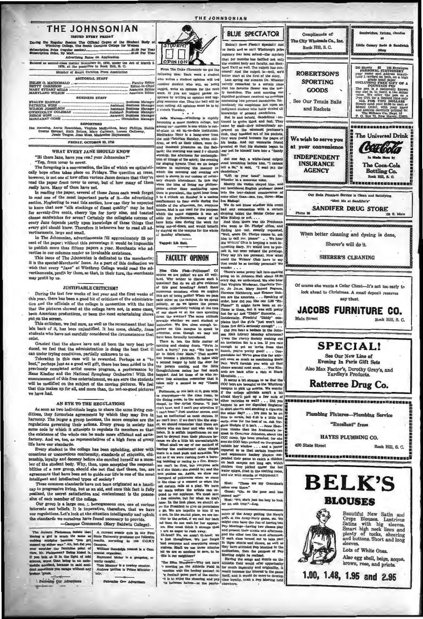### THE JOHNSONIAN **ISBURD EVERY FRIDAY**

41.00 Per Yea

| Eutered as second-class matter November 21, 1923, under the Act of March<br>1879, at the postoffice in Rock Hill, S. C.<br>Member of South Carolina Press Association<br><b>EDITORIAL STAFF</b><br><b>BUSINESS STAFF</b><br><b>REPORTERS</b><br>Greene Stewart, Ruth Bethea, Mary Gallman, Lorena Galloway,<br>Jessie Teague, Jean Moss, Madeleine Haynsworth | Advertising Rates on Application |
|---------------------------------------------------------------------------------------------------------------------------------------------------------------------------------------------------------------------------------------------------------------------------------------------------------------------------------------------------------------|----------------------------------|
|                                                                                                                                                                                                                                                                                                                                                               |                                  |
|                                                                                                                                                                                                                                                                                                                                                               |                                  |
| PATRICIA WISE -------------------------------- Assistant Business Manage<br>Dot Manning, Anrie Rosenblum, Virginia McKelthen, Mary Phillips, Hatti                                                                                                                                                                                                            |                                  |
|                                                                                                                                                                                                                                                                                                                                                               |                                  |
|                                                                                                                                                                                                                                                                                                                                                               |                                  |
|                                                                                                                                                                                                                                                                                                                                                               |                                  |
|                                                                                                                                                                                                                                                                                                                                                               |                                  |
|                                                                                                                                                                                                                                                                                                                                                               |                                  |

**FRIDAY, OCTOBER 25, 1735** 

WHAT EVERY JANE SHOULD KNOW

"Hi there Jane, have you read your Johnsonian?"

"Yep, from cover to cover.

The foregoing is a conversation, the like of which we optimistically hope often takes place on Fridays. The question at issue, however, is not one of how often various Januar decisive, reach the year can be reach that the

read the paper rrom cover to cover, out on any on ansure really have. Many of them have not.<br>In readily have. Many of them have not.<br>In reading the paper, several of these James each week forget<br>to read one of the most imp to know that now "slik stockings of finest quality" may be had for seventy-five cents, cherry lips for forty nine, and toasted cheese sandwiches for seven? Certainly the collegiate success of every Jane depends partly upon knowledge of these things that every girl should know. Therefore it behooves her to read all ad-

tisements, large and small.<br>In The Johnsonian, advertisen ents fill approxi tely 25 per cent of the paper; without this percentage it would be impossible<br>to publish more than fifteen papers a year. Merchants who advertise in our columns render us invaluable assistance

vertue at our coutums renor to a mystuate assignme.<br>This issue of The Johnsonian is dedicated to the merchants;<br>it is the special-Merchants' Issue. As a part of this dedication we<br>wish that every "Jane" at Winthrop College may profit by us.

### **JUSTIFIABLE CRITICISM?**

During the last few weeks of last year and the first weeks of this year, there has been a good bit of criticism of the administration and the officials of the college in connection with the fact that the pictures showed at the college have not, in some cases,<br>been American productions, or been the most entertaining shows put on the screen.

put on survey as well as the recentment that has<br>lain back of it, has been unjustified. It has come, chiefly, from s that students who have not carefully considered the circumstance exist

Granted that the shows have not all been the very best produced, we feel that the administration is doing the best that it can under trying conditions, partially unknown to us.

Toleration in this case will be rewarded. Perhaps as a "to<br>boot," perhaps just as a good will gift, there has been added to the previously completed artist course program, a performance by Hans Kindler and the National Symphony Orchestra! With the announcement of this free entertainment, we are sure the students<br>will be mollified on the subject of the moving pictures. We feel<br>that this makes up for all, and more than, the not-so-good pictures we have had.

#### AN EVE TO THE REGIILATIONS

As soon as two ladividuals begin to share the same living conditions, they formulate agreements by which they may live in harmony. The larger a group becomes, the nore complex are the regulations governing their actions. E

the exastence of the whole can be made more efficient and astis-<br>factory. And we, too, as representatives of a high form of group<br>life have our standards.<br>Every student in the college has been upholding, either with<br>consei zenably, loyalty and decompy hefore ahe enrolled herself as a mem-<br>zenably, loyalty and decompy hefore are around that there, too, are<br>bilities of a new group, should abe not find that there, too, are<br>symments that have b

eleants, the seate assessment and contentment is the posses-<br>should can be college. Our group is a large one, one of various<br>interests and beliefs. It is imperative, therefore, that we have<br>interests and beliefs. It is imp the standards we ourselves have found necessary to provide.<br>-Campus Comments (Mary Baldwin College).

the One Adve

Pab

The Auburn Pishmman matics that  $|A \text{ current result}$  contrains an analysis of the mean analysis of the match the same as Sinio Enhinesity produced the following matches behavior of the same of the same of the same of the same of th

5 Particular Que Advertises

STUDEN

THE JOHNSONIAN

unother stadent who well on helps

s as a complement of the set of the specific set of the specific control of the control of the specific set of the specific set of the specific set of the specific set of the specific set of the specific set of the specifi min-Theorian Bunday, when child<br>can also a sample over 1000 and the mind-Theorian Bunday, when child<br>cd innocent pleasures on the Sab<br>del innocent pleasures on the Sab<br>retiring was used f-reduced<br>profile the string of the 3 to 4 o'clock on Sunday is a u ement to four walls during the .<br>fir idle of the aftern m. for, everyus wa. Med is not used for the purp chich the name suggests it was

side for. Furthermore, many of u ng out-of-doc and would be be staying on the es nnus for the

Tagged: Elh Halt

## **FACULTY OPINION**

Fig. Chain and the Hamman of the state of the control of the control of the state of the state of the state of the state of the state of the state of the state of the state of the state of the state of the state of the sta

pond to our sphases. We meat awe of the minimizes, but for what we don't now it is the first place, we should allow  $\gamma$ . The President to give us permulation o go. We are impolite to him if we can possible to be the studi



Also egg shell, beige, acqua. brown, rose, and prints

1.00, 1.48, 1.95 and 2.95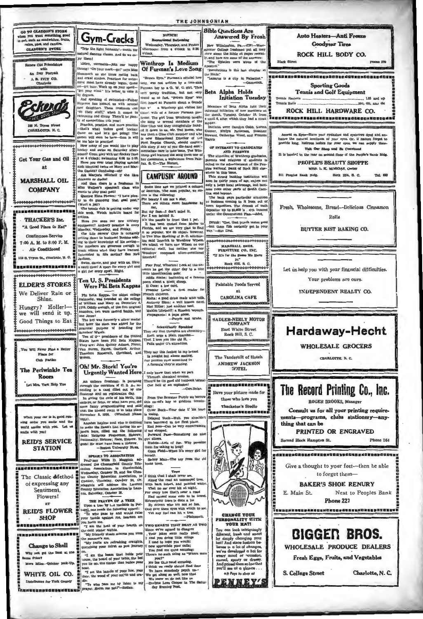